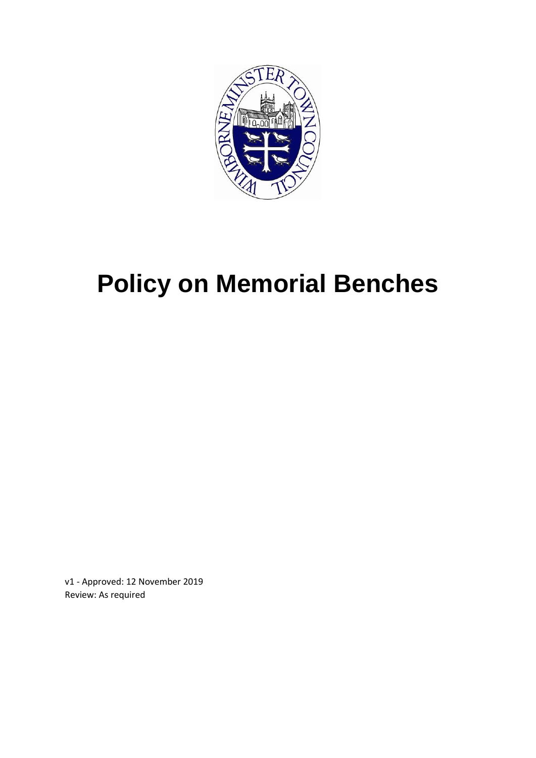

# **Policy on Memorial Benches**

v1 - Approved: 12 November 2019 Review: As required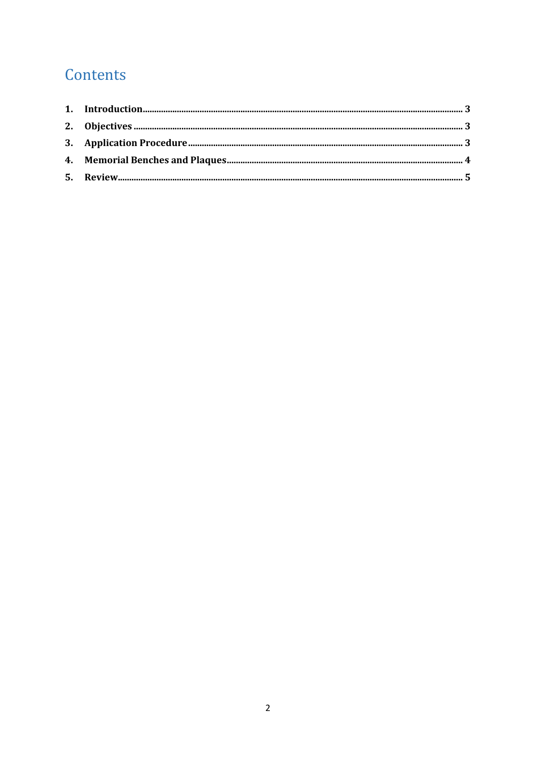## Contents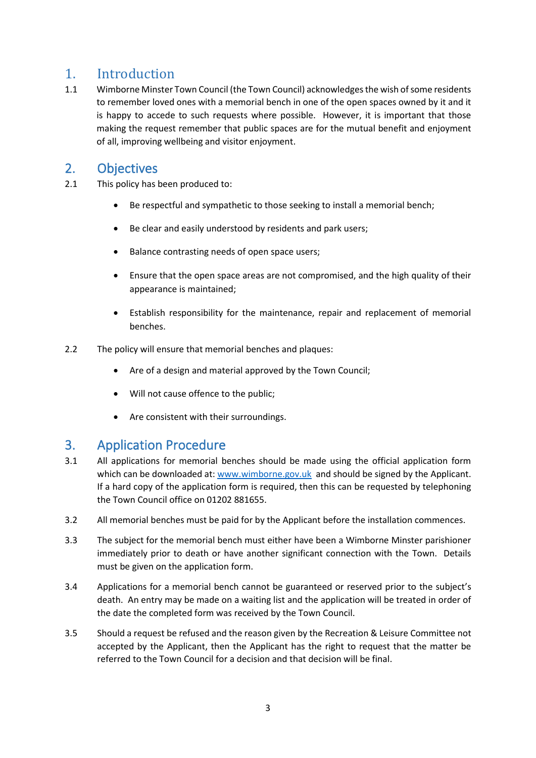#### <span id="page-2-0"></span>1. Introduction

1.1 Wimborne Minster Town Council (the Town Council) acknowledges the wish of some residents to remember loved ones with a memorial bench in one of the open spaces owned by it and it is happy to accede to such requests where possible. However, it is important that those making the request remember that public spaces are for the mutual benefit and enjoyment of all, improving wellbeing and visitor enjoyment.

#### <span id="page-2-1"></span>2. Objectives

- 2.1 This policy has been produced to:
	- Be respectful and sympathetic to those seeking to install a memorial bench;
	- Be clear and easily understood by residents and park users;
	- Balance contrasting needs of open space users;
	- Ensure that the open space areas are not compromised, and the high quality of their appearance is maintained;
	- Establish responsibility for the maintenance, repair and replacement of memorial benches.
- 2.2 The policy will ensure that memorial benches and plaques:
	- Are of a design and material approved by the Town Council;
	- Will not cause offence to the public;
	- Are consistent with their surroundings.

#### <span id="page-2-2"></span>3. Application Procedure

- 3.1 All applications for memorial benches should be made using the official application form which can be downloaded at[: www.wimborne.gov.uk](http://www.wimborne.gov.uk/) and should be signed by the Applicant. If a hard copy of the application form is required, then this can be requested by telephoning the Town Council office on 01202 881655.
- 3.2 All memorial benches must be paid for by the Applicant before the installation commences.
- 3.3 The subject for the memorial bench must either have been a Wimborne Minster parishioner immediately prior to death or have another significant connection with the Town. Details must be given on the application form.
- 3.4 Applications for a memorial bench cannot be guaranteed or reserved prior to the subject's death. An entry may be made on a waiting list and the application will be treated in order of the date the completed form was received by the Town Council.
- 3.5 Should a request be refused and the reason given by the Recreation & Leisure Committee not accepted by the Applicant, then the Applicant has the right to request that the matter be referred to the Town Council for a decision and that decision will be final.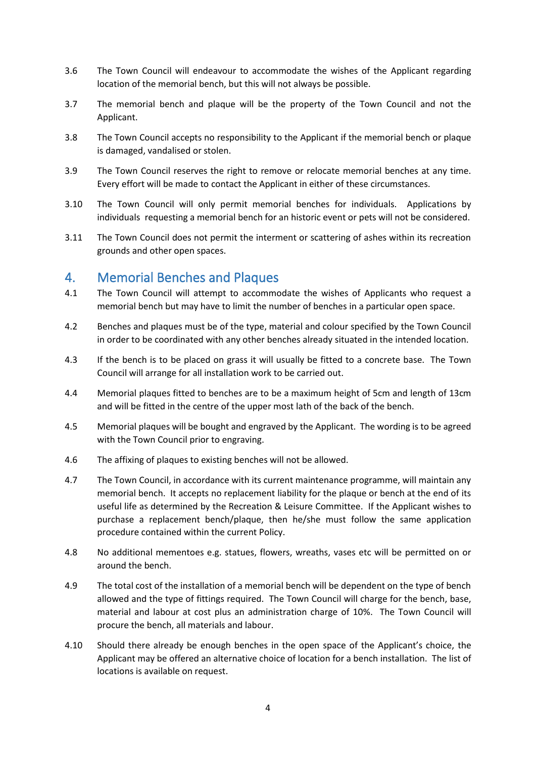- 3.6 The Town Council will endeavour to accommodate the wishes of the Applicant regarding location of the memorial bench, but this will not always be possible.
- 3.7 The memorial bench and plaque will be the property of the Town Council and not the Applicant.
- 3.8 The Town Council accepts no responsibility to the Applicant if the memorial bench or plaque is damaged, vandalised or stolen.
- 3.9 The Town Council reserves the right to remove or relocate memorial benches at any time. Every effort will be made to contact the Applicant in either of these circumstances.
- 3.10 The Town Council will only permit memorial benches for individuals. Applications by individuals requesting a memorial bench for an historic event or pets will not be considered.
- 3.11 The Town Council does not permit the interment or scattering of ashes within its recreation grounds and other open spaces.

#### <span id="page-3-0"></span>4. Memorial Benches and Plaques

- 4.1 The Town Council will attempt to accommodate the wishes of Applicants who request a memorial bench but may have to limit the number of benches in a particular open space.
- 4.2 Benches and plaques must be of the type, material and colour specified by the Town Council in order to be coordinated with any other benches already situated in the intended location.
- 4.3 If the bench is to be placed on grass it will usually be fitted to a concrete base. The Town Council will arrange for all installation work to be carried out.
- 4.4 Memorial plaques fitted to benches are to be a maximum height of 5cm and length of 13cm and will be fitted in the centre of the upper most lath of the back of the bench.
- 4.5 Memorial plaques will be bought and engraved by the Applicant. The wording is to be agreed with the Town Council prior to engraving.
- 4.6 The affixing of plaques to existing benches will not be allowed.
- 4.7 The Town Council, in accordance with its current maintenance programme, will maintain any memorial bench. It accepts no replacement liability for the plaque or bench at the end of its useful life as determined by the Recreation & Leisure Committee. If the Applicant wishes to purchase a replacement bench/plaque, then he/she must follow the same application procedure contained within the current Policy.
- 4.8 No additional mementoes e.g. statues, flowers, wreaths, vases etc will be permitted on or around the bench.
- 4.9 The total cost of the installation of a memorial bench will be dependent on the type of bench allowed and the type of fittings required. The Town Council will charge for the bench, base, material and labour at cost plus an administration charge of 10%. The Town Council will procure the bench, all materials and labour.
- 4.10 Should there already be enough benches in the open space of the Applicant's choice, the Applicant may be offered an alternative choice of location for a bench installation. The list of locations is available on request.